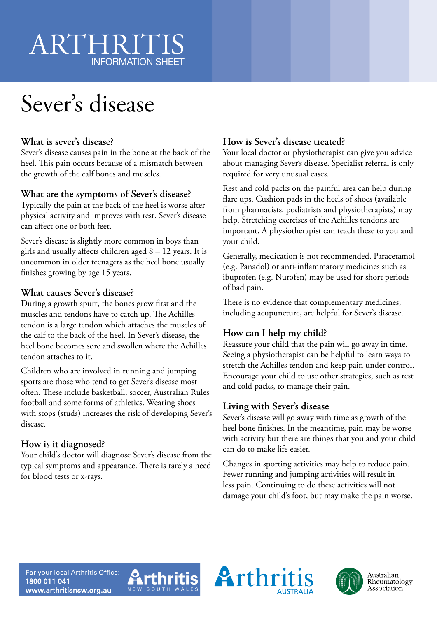## ARTHRITI INFORMATION SHEET

# Sever's disease

#### **What is sever's disease?**

Sever's disease causes pain in the bone at the back of the heel. This pain occurs because of a mismatch between the growth of the calf bones and muscles.

#### **What are the symptoms of Sever's disease?**

Typically the pain at the back of the heel is worse after physical activity and improves with rest. Sever's disease can affect one or both feet.

Sever's disease is slightly more common in boys than girls and usually affects children aged  $8 - 12$  years. It is uncommon in older teenagers as the heel bone usually finishes growing by age 15 years.

#### **What causes Sever's disease?**

During a growth spurt, the bones grow first and the muscles and tendons have to catch up. The Achilles tendon is a large tendon which attaches the muscles of the calf to the back of the heel. In Sever's disease, the heel bone becomes sore and swollen where the Achilles tendon attaches to it.

Children who are involved in running and jumping sports are those who tend to get Sever's disease most often. These include basketball, soccer, Australian Rules football and some forms of athletics. Wearing shoes with stops (studs) increases the risk of developing Sever's disease.

#### **How is it diagnosed?**

Your child's doctor will diagnose Sever's disease from the typical symptoms and appearance. There is rarely a need for blood tests or x-rays.

#### **How is Sever's disease treated?**

Your local doctor or physiotherapist can give you advice about managing Sever's disease. Specialist referral is only required for very unusual cases.

Rest and cold packs on the painful area can help during flare ups. Cushion pads in the heels of shoes (available from pharmacists, podiatrists and physiotherapists) may help. Stretching exercises of the Achilles tendons are important. A physiotherapist can teach these to you and your child.

Generally, medication is not recommended. Paracetamol (e.g. Panadol) or anti-inflammatory medicines such as ibuprofen (e.g. Nurofen) may be used for short periods of bad pain.

There is no evidence that complementary medicines, including acupuncture, are helpful for Sever's disease.

### **How can I help my child?**

Reassure your child that the pain will go away in time. Seeing a physiotherapist can be helpful to learn ways to stretch the Achilles tendon and keep pain under control. Encourage your child to use other strategies, such as rest and cold packs, to manage their pain.

#### **Living with Sever's disease**

Sever's disease will go away with time as growth of the heel bone finishes. In the meantime, pain may be worse with activity but there are things that you and your child can do to make life easier.

Changes in sporting activities may help to reduce pain. Fewer running and jumping activities will result in less pain. Continuing to do these activities will not damage your child's foot, but may make the pain worse.

For your local Arthritis Office: 1800 011 041 www.arthritisnsw.org.au